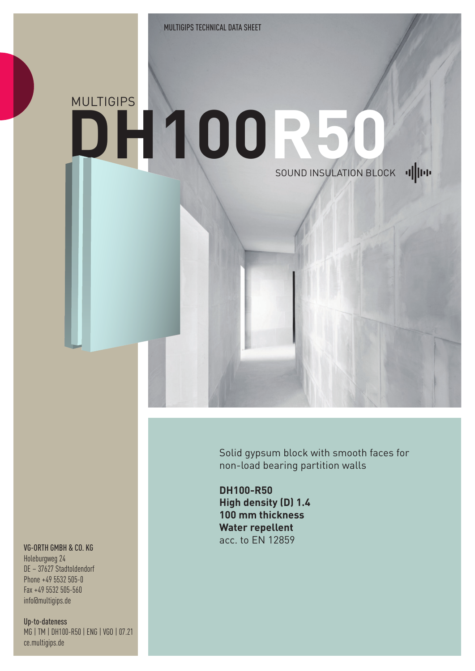## MULTIGIPS **DH100R 50**SOUND INSULATION BLOCK |

Solid gypsum block with smooth faces for non-load bearing partition walls

**DH100-R50 High density (D) 1.4 100 mm thickness Water repellent** acc. to EN 12859

## VG-ORTH GMBH & CO. KG

Holeburgweg 24 DE – 37627 Stadtoldendorf Phone +49 5532 505-0 Fax +49 5532 505-560 info@multigips.de

Up-to-dateness MG | TM | DH100-R50 | ENG | VGO | 07.21 ce.multigips.de